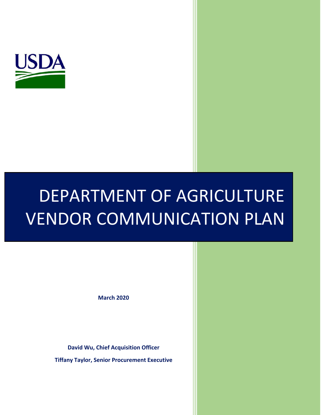

# DEPARTMENT OF AGRICULTURE VENDOR COMMUNICATION PLAN

**March 2020**

**David Wu, Chief Acquisition Officer**

**Tiffany Taylor, Senior Procurement Executive**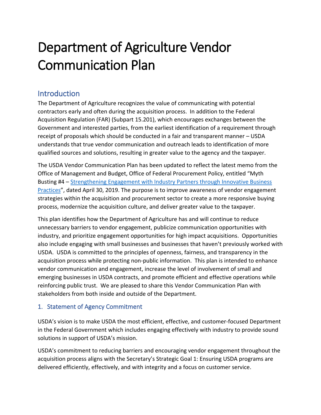# Department of Agriculture Vendor Communication Plan

# **Introduction**

The Department of Agriculture recognizes the value of communicating with potential contractors early and often during the acquisition process. In addition to the Federal Acquisition Regulation (FAR) (Subpart 15.201), which encourages exchanges between the Government and interested parties, from the earliest identification of a requirement through receipt of proposals which should be conducted in a fair and transparent manner – USDA understands that true vendor communication and outreach leads to identification of more qualified sources and solutions, resulting in greater value to the agency and the taxpayer.

The USDA Vendor Communication Plan has been updated to reflect the latest memo from the Office of Management and Budget, Office of Federal Procurement Policy, entitled "Myth Busting #4 – [Strengthening Engagement with Industry Partners through Innovative Business](https://www.whitehouse.gov/wp-content/uploads/2019/05/SIGNED-Myth-Busting-4-Strenthening-Engagement-with-Industry-Partners-through-Innovative-Business-Practices.pdf)  [Practices](https://www.whitehouse.gov/wp-content/uploads/2019/05/SIGNED-Myth-Busting-4-Strenthening-Engagement-with-Industry-Partners-through-Innovative-Business-Practices.pdf)", dated April 30, 2019. The purpose is to improve awareness of vendor engagement strategies within the acquisition and procurement sector to create a more responsive buying process, modernize the acquisition culture, and deliver greater value to the taxpayer.

This plan identifies how the Department of Agriculture has and will continue to reduce unnecessary barriers to vendor engagement, publicize communication opportunities with industry, and prioritize engagement opportunities for high impact acquisitions. Opportunities also include engaging with small businesses and businesses that haven't previously worked with USDA. USDA is committed to the principles of openness, fairness, and transparency in the acquisition process while protecting non-public information. This plan is intended to enhance vendor communication and engagement, increase the level of involvement of small and emerging businesses in USDA contracts, and promote efficient and effective operations while reinforcing public trust. We are pleased to share this Vendor Communication Plan with stakeholders from both inside and outside of the Department.

# 1. Statement of Agency Commitment

USDA's vision is to make USDA the most efficient, effective, and customer-focused Department in the Federal Government which includes engaging effectively with industry to provide sound solutions in support of USDA's mission.

USDA's commitment to reducing barriers and encouraging vendor engagement throughout the acquisition process aligns with the Secretary's Strategic Goal 1: Ensuring USDA programs are delivered efficiently, effectively, and with integrity and a focus on customer service.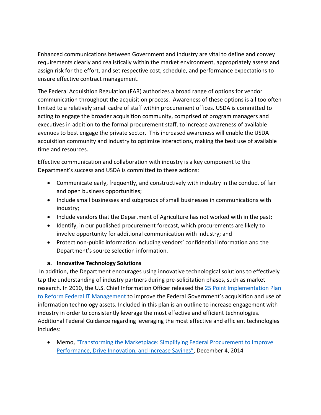Enhanced communications between Government and industry are vital to define and convey requirements clearly and realistically within the market environment, appropriately assess and assign risk for the effort, and set respective cost, schedule, and performance expectations to ensure effective contract management.

The Federal Acquisition Regulation (FAR) authorizes a broad range of options for vendor communication throughout the acquisition process. Awareness of these options is all too often limited to a relatively small cadre of staff within procurement offices. USDA is committed to acting to engage the broader acquisition community, comprised of program managers and executives in addition to the formal procurement staff, to increase awareness of available avenues to best engage the private sector. This increased awareness will enable the USDA acquisition community and industry to optimize interactions, making the best use of available time and resources.

Effective communication and collaboration with industry is a key component to the Department's success and USDA is committed to these actions:

- Communicate early, frequently, and constructively with industry in the conduct of fair and open business opportunities;
- Include small businesses and subgroups of small businesses in communications with industry;
- Include vendors that the Department of Agriculture has not worked with in the past;
- Identify, in our published procurement forecast, which procurements are likely to involve opportunity for additional communication with industry; and
- Protect non-public information including vendors' confidential information and the Department's source selection information.

#### **a. Innovative Technology Solutions**

In addition, the Department encourages using innovative technological solutions to effectively tap the understanding of industry partners during pre-solicitation phases, such as market research. In 2010, the U.S. Chief Information Officer released the 25 Point Implementation Plan [to Reform Federal IT](https://www.dhs.gov/sites/default/files/publications/digital-strategy/25-point-implementation-plan-to-reform-federal-it.pdf) Management to improve the Federal Government's acquisition and use of information technology assets. Included in this plan is an outline to increase engagement with industry in order to consistently leverage the most effective and efficient technologies. Additional Federal Guidance regarding leveraging the most effective and efficient technologies includes:

• Memo, "Transforming the Marketplace: Simplifying Federal Procurement to Improve [Performance, Drive Innovation, and Increase Savings"](https://www.whitehouse.gov/sites/whitehouse.gov/files/omb/procurement/memo/simplifying-federal-procurement-to-improve-performance-drive-innovation-increase-savings.pdf), December 4, 2014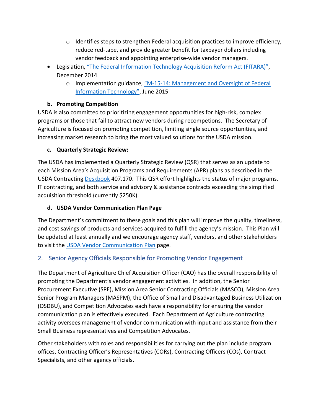- $\circ$  Identifies steps to strengthen Federal acquisition practices to improve efficiency, reduce red-tape, and provide greater benefit for taxpayer dollars including vendor feedback and appointing enterprise-wide vendor managers.
- Legislation, ["The Federal Information Technology Acquisition Reform Act \(FITARA\)"](https://www.congress.gov/bill/113th-congress/house-bill/1232), December 2014
	- o Implementation guidance, "M[-15-14: Management and Oversight of Federal](https://management.cio.gov/implementation/)  [Information Technology"](https://management.cio.gov/implementation/), June 2015

# **b. Promoting Competition**

USDA is also committed to prioritizing engagement opportunities for high-risk, complex programs or those that fail to attract new vendors during recompetions. The Secretary of Agriculture is focused on promoting competition, limiting single source opportunities, and increasing market research to bring the most valued solutions for the USDA mission.

# **c. Quarterly Strategic Review:**

The USDA has implemented a Quarterly Strategic Review (QSR) that serves as an update to each Mission Area's Acquisition Programs and Requirements (APR) plans as described in the USDA Contracting [Deskbook](https://gcc02.safelinks.protection.outlook.com/?url=https%3A%2F%2Fwww.dm.usda.gov%2Fprocurement%2Fpolicy%2Fdocs%2FUSDAContractingDeskbookPhase1.32.pdf&data=02%7C01%7C%7C88a8cb5c54744999d02e08d720ba0c26%7Ced5b36e701ee4ebc867ee03cfa0d4697%7C0%7C0%7C637013856534461596&sdata=yFNwAHxpPYf3nEujtPJJhgXEOYgaU16gXi08I0MGLkE%3D&reserved=0) 407.170. This QSR effort highlights the status of major programs, IT contracting, and both service and advisory & assistance contracts exceeding the simplified acquisition threshold (currently \$250K).

# **d. USDA Vendor Communication Plan Page**

The Department's commitment to these goals and this plan will improve the quality, timeliness, and cost savings of products and services acquired to fulfill the agency's mission. This Plan will be updated at least annually and we encourage agency staff, vendors, and other stakeholders to visit the [USDA Vendor Communication Plan](https://www.dm.usda.gov/procurement/vendor_communication/index.html) page.

# 2. Senior Agency Officials Responsible for Promoting Vendor Engagement

The Department of Agriculture Chief Acquisition Officer (CAO) has the overall responsibility of promoting the Department's vendor engagement activities. In addition, the Senior Procurement Executive (SPE), Mission Area Senior Contracting Officials (MASCO), Mission Area Senior Program Managers (MASPM), the Office of Small and Disadvantaged Business Utilization (OSDBU), and Competition Advocates each have a responsibility for ensuring the vendor communication plan is effectively executed. Each Department of Agriculture contracting activity oversees management of vendor communication with input and assistance from their Small Business representatives and Competition Advocates.

Other stakeholders with roles and responsibilities for carrying out the plan include program offices, Contracting Officer's Representatives (CORs), Contracting Officers (COs), Contract Specialists, and other agency officials.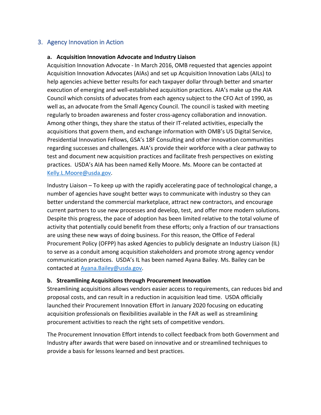#### 3. Agency Innovation in Action

#### **a. Acquisition Innovation Advocate and Industry Liaison**

Acquisition Innovation Advocate - In March 2016, OMB requested that agencies appoint Acquisition Innovation Advocates (AIAs) and set up Acquisition Innovation Labs (AILs) to help agencies achieve better results for each taxpayer dollar through better and smarter execution of emerging and well-established acquisition practices. AIA's make up the AIA Council which consists of advocates from each agency subject to the CFO Act of 1990, as well as, an advocate from the Small Agency Council. The council is tasked with meeting regularly to broaden awareness and foster cross-agency collaboration and innovation. Among other things, they share the status of their IT-related activities, especially the acquisitions that govern them, and exchange information with OMB's US Digital Service, Presidential Innovation Fellows, GSA's 18F Consulting and other innovation communities regarding successes and challenges. AIA's provide their workforce with a clear pathway to test and document new acquisition practices and facilitate fresh perspectives on existing practices. USDA's AIA has been named Kelly Moore. Ms. Moore can be contacted at [Kelly.L.Moore@usda.gov.](mailto:Kelly.L.Moore@usda.gov)

Industry Liaison – To keep up with the rapidly accelerating pace of technological change, a number of agencies have sought better ways to communicate with industry so they can better understand the commercial marketplace, attract new contractors, and encourage current partners to use new processes and develop, test, and offer more modern solutions. Despite this progress, the pace of adoption has been limited relative to the total volume of activity that potentially could benefit from these efforts; only a fraction of our transactions are using these new ways of doing business. For this reason, the Office of Federal Procurement Policy (OFPP) has asked Agencies to publicly designate an Industry Liaison (IL) to serve as a conduit among acquisition stakeholders and promote strong agency vendor communication practices. USDA's IL has been named Ayana Bailey. Ms. Bailey can be contacted at [Ayana.Bailey@usda.gov.](mailto:Ayana.Bailey@usda.gov)

#### **b. Streamlining Acquisitions through Procurement Innovation**

Streamlining acquisitions allows vendors easier access to requirements, can reduces bid and proposal costs, and can result in a reduction in acquisition lead time. USDA officially launched their Procurement Innovation Effort in January 2020 focusing on educating acquisition professionals on flexibilities available in the FAR as well as streamlining procurement activities to reach the right sets of competitive vendors.

The Procurement Innovation Effort intends to collect feedback from both Government and Industry after awards that were based on innovative and or streamlined techniques to provide a basis for lessons learned and best practices.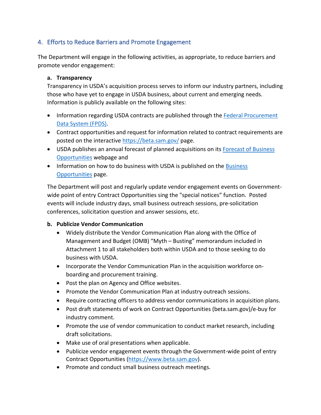# 4. Efforts to Reduce Barriers and Promote Engagement

The Department will engage in the following activities, as appropriate, to reduce barriers and promote vendor engagement:

#### **a. Transparency**

Transparency in USDA's acquisition process serves to inform our industry partners, including those who have yet to engage in USDA business, about current and emerging needs. Information is publicly available on the following sites:

- Information regarding USDA contracts are published through the [Federal Procurement](https://www.fpds.gov/fpdsng_cms/index.php/en/)  [Data System \(FPDS\).](https://www.fpds.gov/fpdsng_cms/index.php/en/)
- Contract opportunities and request for information related to contract requirements are posted on the interactive<https://beta.sam.gov/> page.
- USDA publishes an annual forecast of planned acquisitions on its Forecast of Business [Opportunities](https://www.dm.usda.gov/smallbus/forecast.htm) webpage and
- Information on how to do business with USDA is published on the Business [Opportunities](https://www.dm.usda.gov/procurement/business/index.htm) page.

The Department will post and regularly update vendor engagement events on Governmentwide point of entry Contract Opportunities sing the "special notices" function. Posted events will include industry days, small business outreach sessions, pre-solicitation conferences, solicitation question and answer sessions, etc.

#### **b. Publicize Vendor Communication**

- Widely distribute the Vendor Communication Plan along with the Office of Management and Budget (OMB) "Myth – Busting" memorandum included in Attachment 1 to all stakeholders both within USDA and to those seeking to do business with USDA.
- Incorporate the Vendor Communication Plan in the acquisition workforce onboarding and procurement training.
- Post the plan on Agency and Office websites.
- Promote the Vendor Communication Plan at industry outreach sessions.
- Require contracting officers to address vendor communications in acquisition plans.
- Post draft statements of work on Contract Opportunities (beta.sam.gov)/e-buy for industry comment.
- Promote the use of vendor communication to conduct market research, including draft solicitations.
- Make use of oral presentations when applicable.
- Publicize vendor engagement events through the Government-wide point of entry Contract Opportunities [\(https://www.beta.sam.gov\)](https://www.beta.sam.gov/).
- Promote and conduct small business outreach meetings.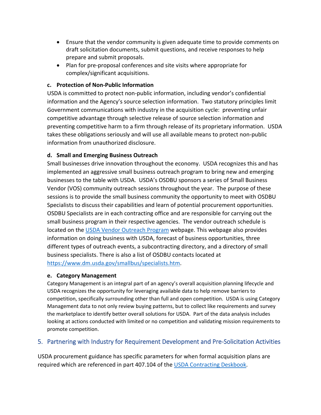- Ensure that the vendor community is given adequate time to provide comments on draft solicitation documents, submit questions, and receive responses to help prepare and submit proposals.
- Plan for pre-proposal conferences and site visits where appropriate for complex/significant acquisitions.

#### **c. Protection of Non-Public Information**

USDA is committed to protect non-public information, including vendor's confidential information and the Agency's source selection information. Two statutory principles limit Government communications with industry in the acquisition cycle: preventing unfair competitive advantage through selective release of source selection information and preventing competitive harm to a firm through release of its proprietary information. USDA takes these obligations seriously and will use all available means to protect non-public information from unauthorized disclosure.

#### **d. Small and Emerging Business Outreach**

Small businesses drive innovation throughout the economy. USDA recognizes this and has implemented an aggressive small business outreach program to bring new and emerging businesses to the table with USDA. USDA's OSDBU sponsors a series of Small Business Vendor (VOS) community outreach sessions throughout the year. The purpose of these sessions is to provide the small business community the opportunity to meet with OSDBU Specialists to discuss their capabilities and learn of potential procurement opportunities. OSDBU Specialists are in each contracting office and are responsible for carrying out the small business program in their respective agencies. The vendor outreach schedule is located on the [USDA Vendor Outreach Program](https://www.dm.usda.gov/smallbus/vos.htm) webpage. This webpage also provides information on doing business with USDA, forecast of business opportunities, three different types of outreach events, a subcontracting directory, and a directory of small business specialists. There is also a list of OSDBU contacts located at [https://www.dm.usda.gov/smallbus/specialists.htm.](https://www.dm.usda.gov/smallbus/specialists.htm)

#### **e. Category Management**

Category Management is an integral part of an agency's overall acquisition planning lifecycle and USDA recognizes the opportunity for leveraging available data to help remove barriers to competition, specifically surrounding other than full and open competition. USDA is using Category Management data to not only review buying patterns, but to collect like requirements and survey the marketplace to identify better overall solutions for USDA. Part of the data analysis includes looking at actions conducted with limited or no competition and validating mission requirements to promote competition.

#### 5. Partnering with Industry for Requirement Development and Pre-Solicitation Activities

USDA procurement guidance has specific parameters for when formal acquisition plans are required which are referenced in part 407.104 of the [USDA Contracting Deskbook.](https://www.dm.usda.gov/procurement/policy/docs/USDAContractingDeskbookPhase1.32.pdf)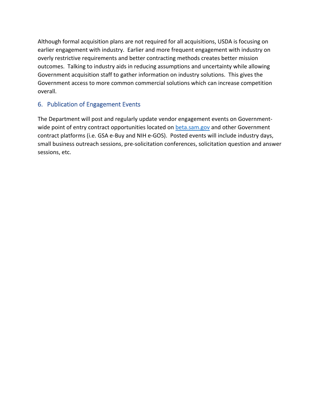Although formal acquisition plans are not required for all acquisitions, USDA is focusing on earlier engagement with industry. Earlier and more frequent engagement with industry on overly restrictive requirements and better contracting methods creates better mission outcomes. Talking to industry aids in reducing assumptions and uncertainty while allowing Government acquisition staff to gather information on industry solutions. This gives the Government access to more common commercial solutions which can increase competition overall.

# 6. Publication of Engagement Events

The Department will post and regularly update vendor engagement events on Governmentwide point of entry contract opportunities located on [beta.sam.gov](https://beta.sam.gov/) and other Government contract platforms (i.e. GSA e-Buy and NIH e-GOS). Posted events will include industry days, small business outreach sessions, pre-solicitation conferences, solicitation question and answer sessions, etc.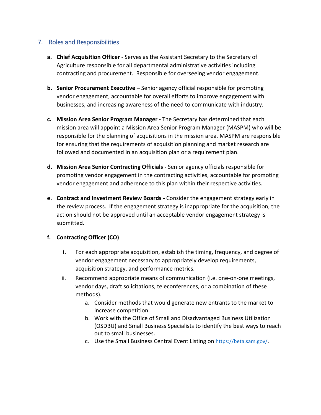#### 7. Roles and Responsibilities

- **a. Chief Acquisition Officer** Serves as the Assistant Secretary to the Secretary of Agriculture responsible for all departmental administrative activities including contracting and procurement. Responsible for overseeing vendor engagement.
- **b. Senior Procurement Executive –** Senior agency official responsible for promoting vendor engagement, accountable for overall efforts to improve engagement with businesses, and increasing awareness of the need to communicate with industry.
- **c. Mission Area Senior Program Manager -** The Secretary has determined that each mission area will appoint a Mission Area Senior Program Manager (MASPM) who will be responsible for the planning of acquisitions in the mission area. MASPM are responsible for ensuring that the requirements of acquisition planning and market research are followed and documented in an acquisition plan or a requirement plan.
- **d. Mission Area Senior Contracting Officials -** Senior agency officials responsible for promoting vendor engagement in the contracting activities, accountable for promoting vendor engagement and adherence to this plan within their respective activities.
- **e. Contract and Investment Review Boards -** Consider the engagement strategy early in the review process. If the engagement strategy is inappropriate for the acquisition, the action should not be approved until an acceptable vendor engagement strategy is submitted.

#### **f. Contracting Officer (CO)**

- **i.** For each appropriate acquisition, establish the timing, frequency, and degree of vendor engagement necessary to appropriately develop requirements, acquisition strategy, and performance metrics.
- ii. Recommend appropriate means of communication (i.e. one-on-one meetings, vendor days, draft solicitations, teleconferences, or a combination of these methods).
	- a. Consider methods that would generate new entrants to the market to increase competition.
	- b. Work with the Office of Small and Disadvantaged Business Utilization (OSDBU) and Small Business Specialists to identify the best ways to reach out to small businesses.
	- c. Use the Small Business Central Event Listing on <https://beta.sam.gov/>.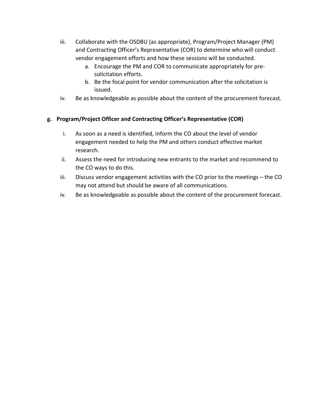- iii. Collaborate with the OSDBU (as appropriate), Program/Project Manager (PM) and Contracting Officer's Representative (COR) to determine who will conduct vendor engagement efforts and how these sessions will be conducted.
	- a. Encourage the PM and COR to communicate appropriately for presolicitation efforts.
	- b. Be the focal point for vendor communication after the solicitation is issued.
- iv. Be as knowledgeable as possible about the content of the procurement forecast.

#### **g. Program/Project Officer and Contracting Officer's Representative (COR)**

- i. As soon as a need is identified, inform the CO about the level of vendor engagement needed to help the PM and others conduct effective market research.
- ii. Assess the need for introducing new entrants to the market and recommend to the CO ways to do this.
- iii. Discuss vendor engagement activities with the CO prior to the meetings the CO may not attend but should be aware of all communications.
- iv. Be as knowledgeable as possible about the content of the procurement forecast.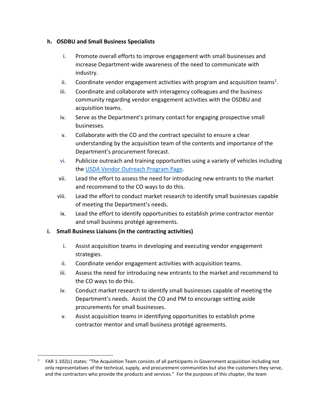#### **h. OSDBU and Small Business Specialists**

- i. Promote overall efforts to improve engagement with small businesses and increase Department-wide awareness of the need to communicate with industry.
- ii. Coordinate vendor engagement activities with program and acquisition teams<sup>1</sup>.
- iii. Coordinate and collaborate with interagency colleagues and the business community regarding vendor engagement activities with the OSDBU and acquisition teams.
- iv. Serve as the Department's primary contact for engaging prospective small businesses.
- v. Collaborate with the CO and the contract specialist to ensure a clear understanding by the acquisition team of the contents and importance of the Department's procurement forecast.
- vi. Publicize outreach and training opportunities using a variety of vehicles including the [USDA Vendor Outreach Program Page.](https://www.dm.usda.gov/smallbus/vos.htm)
- vii. Lead the effort to assess the need for introducing new entrants to the market and recommend to the CO ways to do this.
- viii. Lead the effort to conduct market research to identify small businesses capable of meeting the Department's needs.
- ix. Lead the effort to identify opportunities to establish prime contractor mentor and small business protégé agreements.

#### **i. Small Business Liaisons (in the contracting activities)**

- i. Assist acquisition teams in developing and executing vendor engagement strategies.
- ii. Coordinate vendor engagement activities with acquisition teams.
- iii. Assess the need for introducing new entrants to the market and recommend to the CO ways to do this.
- iv. Conduct market research to identify small businesses capable of meeting the Department's needs. Assist the CO and PM to encourage setting aside procurements for small businesses.
- v. Assist acquisition teams in identifying opportunities to establish prime contractor mentor and small business protégé agreements.

<sup>1</sup> FAR 1.102(c) states: "The Acquisition Team consists of all participants in Government acquisition including not only representatives of the technical, supply, and procurement communities but also the customers they serve, and the contractors who provide the products and services." For the purposes of this chapter, the team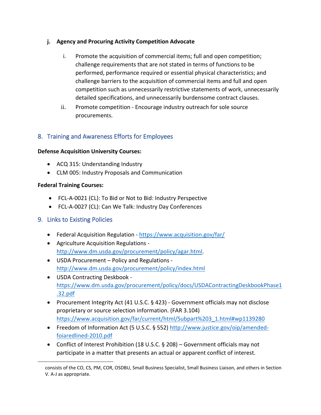#### **j. Agency and Procuring Activity Competition Advocate**

- i. Promote the acquisition of commercial items; full and open competition; challenge requirements that are not stated in terms of functions to be performed, performance required or essential physical characteristics; and challenge barriers to the acquisition of commercial items and full and open competition such as unnecessarily restrictive statements of work, unnecessarily detailed specifications, and unnecessarily burdensome contract clauses.
- ii. Promote competition Encourage industry outreach for sole source procurements.

# 8. Training and Awareness Efforts for Employees

#### **Defense Acquisition University Courses:**

- ACQ 315: Understanding Industry
- CLM 005: Industry Proposals and Communication

#### **Federal Training Courses:**

- FCL-A-0021 (CL): To Bid or Not to Bid: Industry Perspective
- FCL-A-0027 (CL): Can We Talk: Industry Day Conferences

#### 9. Links to Existing Policies

- Federal Acquisition Regulation <https://www.acquisition.gov/far/>
- Agriculture Acquisition Regulations [http://www.dm.usda.gov/procurement/policy/agar.html.](http://www.dm.usda.gov/procurement/policy/agar.html)
- USDA Procurement Policy and Regulations <http://www.dm.usda.gov/procurement/policy/index.html>
- USDA Contracting Deskbook [https://www.dm.usda.gov/procurement/policy/docs/USDAContractingDeskbookPhase1](https://www.dm.usda.gov/procurement/policy/docs/USDAContractingDeskbookPhase1.32.pdf) [.32.pdf](https://www.dm.usda.gov/procurement/policy/docs/USDAContractingDeskbookPhase1.32.pdf)
- Procurement Integrity Act (41 U.S.C. § 423) Government officials may not disclose proprietary or source selection information. (FAR 3.104) [https://www.acquisition.gov/far/current/html/Subpart%203\\_1.html#wp1139280](https://www.acquisition.gov/far/current/html/Subpart%203_1.html#wp1139280)
- Freedom of Information Act (5 U.S.C. § 552) [http://www.justice.gov/oip/amended](http://www.justice.gov/oip/amended-foiaredlined-2010.pdf)[foiaredlined-2010.pdf](http://www.justice.gov/oip/amended-foiaredlined-2010.pdf)
- Conflict of Interest Prohibition (18 U.S.C. § 208) Government officials may not participate in a matter that presents an actual or apparent conflict of interest.

consists of the CO, CS, PM, COR, OSDBU, Small Business Specialist, Small Business Liaison, and others in Section V. A-J as appropriate.